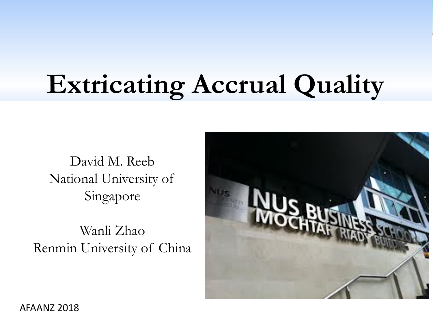# **Extricating Accrual Quality**

David M. Reeb National University of Singapore

Wanli Zhao Renmin University of China



**AFAANZ 2018**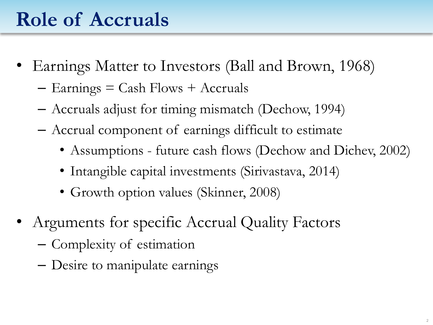## **Role of Accruals**

- Earnings Matter to Investors (Ball and Brown, 1968)
	- $-$  Earnings  $=$  Cash Flows  $+$  Accruals
	- Accruals adjust for timing mismatch (Dechow, 1994)
	- Accrual component of earnings difficult to estimate
		- Assumptions future cash flows (Dechow and Dichev, 2002)
		- Intangible capital investments (Sirivastava, 2014)
		- Growth option values (Skinner, 2008)
- Arguments for specific Accrual Quality Factors
	- Complexity of estimation
	- Desire to manipulate earnings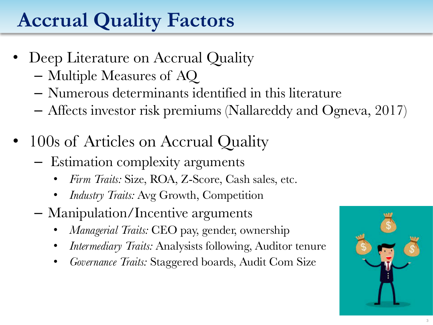## **Accrual Quality Factors**

- Deep Literature on Accrual Quality
	- Multiple Measures of AQ
	- Numerous determinants identified in this literature
	- Affects investor risk premiums (Nallareddy and Ogneva, 2017)
- 100s of Articles on Accrual Quality
	- Estimation complexity arguments
		- *Firm Traits:* Size, ROA, Z-Score, Cash sales, etc.
		- *Industry Traits:* Avg Growth, Competition
	- Manipulation/Incentive arguments
		- *Managerial Traits:* CEO pay, gender, ownership
		- *Intermediary Traits:* Analysists following, Auditor tenure
		- *Governance Traits:* Staggered boards, Audit Com Size

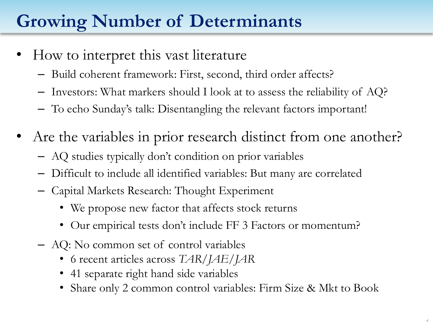#### **Growing Number of Determinants**

- How to interpret this vast literature
	- Build coherent framework: First, second, third order affects?
	- Investors: What markers should I look at to assess the reliability of AQ?
	- To echo Sunday's talk: Disentangling the relevant factors important!
- Are the variables in prior research distinct from one another?
	- AQ studies typically don't condition on prior variables
	- Difficult to include all identified variables: But many are correlated
	- Capital Markets Research: Thought Experiment
		- We propose new factor that affects stock returns
		- Our empirical tests don't include FF 3 Factors or momentum?
	- AQ: No common set of control variables
		- 6 recent articles across *TAR/JAE/JAR*
		- 41 separate right hand side variables
		- Share only 2 common control variables: Firm Size & Mkt to Book

4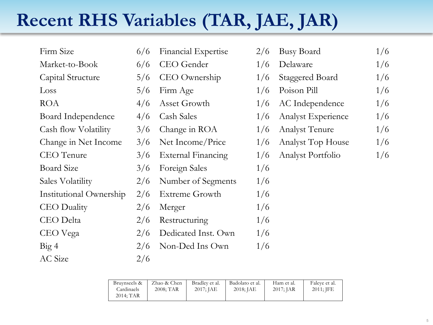### **Recent RHS Variables (TAR, JAE, JAR)**

| Firm Size               | 6/6 | <b>Financial Expertise</b> | 2/6 | <b>Busy Board</b>     | 1/6 |
|-------------------------|-----|----------------------------|-----|-----------------------|-----|
| Market-to-Book          | 6/6 | CEO Gender                 | 1/6 | Delaware              | 1/6 |
| Capital Structure       | 5/6 | CEO Ownership              | 1/6 | Staggered Board       | 1/6 |
| Loss                    | 5/6 | Firm Age                   | 1/6 | Poison Pill           | 1/6 |
| <b>ROA</b>              | 4/6 | Asset Growth               | 1/6 | AC Independence       | 1/6 |
| Board Independence      | 4/6 | Cash Sales                 | 1/6 | Analyst Experience    | 1/6 |
| Cash flow Volatility    | 3/6 | Change in ROA              | 1/6 | <b>Analyst Tenure</b> | 1/6 |
| Change in Net Income    | 3/6 | Net Income/Price           | 1/6 | Analyst Top House     | 1/6 |
| <b>CEO</b> Tenure       | 3/6 | <b>External Financing</b>  | 1/6 | Analyst Portfolio     | 1/6 |
| <b>Board Size</b>       | 3/6 | Foreign Sales              | 1/6 |                       |     |
| Sales Volatility        | 2/6 | Number of Segments         | 1/6 |                       |     |
| Institutional Ownership | 2/6 | Extreme Growth             | 1/6 |                       |     |
| <b>CEO</b> Duality      | 2/6 | Merger                     | 1/6 |                       |     |
| CEO Delta               | 2/6 | Restructuring              | 1/6 |                       |     |
| CEO Vega                | 2/6 | Dedicated Inst. Own        | 1/6 |                       |     |
| $Big\4$                 | 2/6 | Non-Ded Ins Own            | 1/6 |                       |     |
| <b>AC</b> Size          | 2/6 |                            |     |                       |     |

| Bruynseels &<br>Cardinaels<br>2014: TAR | Zhao & Chen<br>2008; TAR | Bradlev et al.<br>2017; JAE | Badolato et al.<br>2018; JAE | Ham et al.<br>$2017$ ; JAR | Faleve et al.<br>$2011;$ JFE |
|-----------------------------------------|--------------------------|-----------------------------|------------------------------|----------------------------|------------------------------|
|-----------------------------------------|--------------------------|-----------------------------|------------------------------|----------------------------|------------------------------|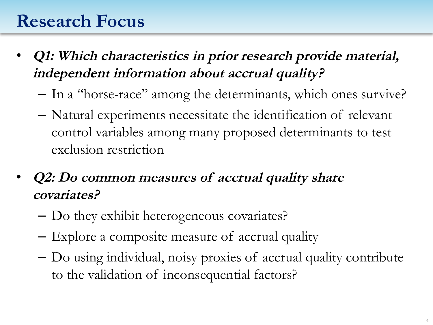#### **Research Focus**

- **Q1: Which characteristics in prior research provide material, independent information about accrual quality?**
	- In a "horse-race" among the determinants, which ones survive?
	- Natural experiments necessitate the identification of relevant control variables among many proposed determinants to test exclusion restriction
- **Q2: Do common measures of accrual quality share covariates?** 
	- Do they exhibit heterogeneous covariates?
	- Explore a composite measure of accrual quality
	- Do using individual, noisy proxies of accrual quality contribute to the validation of inconsequential factors?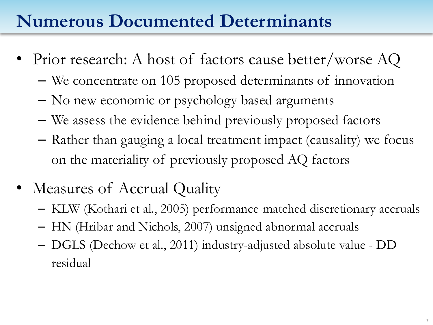#### **Numerous Documented Determinants**

- Prior research: A host of factors cause better/worse AQ
	- We concentrate on 105 proposed determinants of innovation
	- No new economic or psychology based arguments
	- We assess the evidence behind previously proposed factors
	- Rather than gauging a local treatment impact (causality) we focus on the materiality of previously proposed AQ factors
- Measures of Accrual Quality
	- KLW (Kothari et al., 2005) performance-matched discretionary accruals
	- HN (Hribar and Nichols, 2007) unsigned abnormal accruals
	- DGLS (Dechow et al., 2011) industry-adjusted absolute value DD residual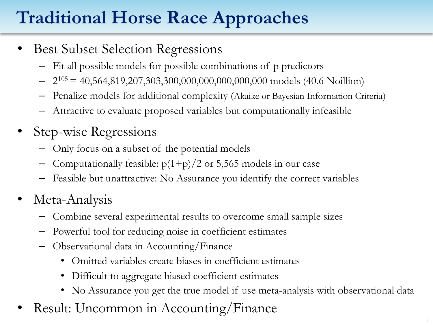## **Traditional Horse Race Approaches**

- Best Subset Selection Regressions
	- Fit all possible models for possible combinations of p predictors
	- $-2^{105} = 40,564,819,207,303,300,000,000,000,000,000 \text{ models}$  (40.6 Noillion)
	- Penalize models for additional complexity (Akaike or Bayesian Information Criteria)
	- Attractive to evaluate proposed variables but computationally infeasible
- Step-wise Regressions
	- Only focus on a subset of the potential models
	- Computationally feasible:  $p(1+p)/2$  or 5,565 models in our case
	- Feasible but unattractive: No Assurance you identify the correct variables
- Meta-Analysis
	- Combine several experimental results to overcome small sample sizes
	- Powerful tool for reducing noise in coefficient estimates
	- Observational data in Accounting/Finance
		- Omitted variables create biases in coefficient estimates
		- Difficult to aggregate biased coefficient estimates
		- No Assurance you get the true model if use meta-analysis with observational data

8

Result: Uncommon in Accounting/Finance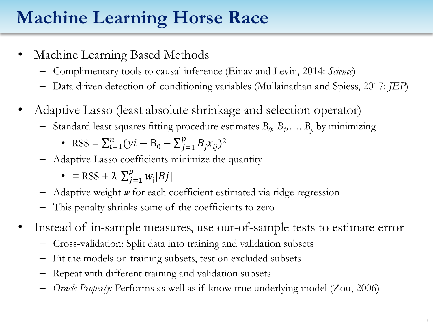#### **Machine Learning Horse Race**

- Machine Learning Based Methods
	- Complimentary tools to causal inference (Einav and Levin, 2014: *Science*)
	- Data driven detection of conditioning variables (Mullainathan and Spiess, 2017: *JEP*)
- Adaptive Lasso (least absolute shrinkage and selection operator)
	- Standard least squares fitting procedure estimates  $B_0, B_1, \ldots, B_p$  by minimizing
		- RSS =  $\sum_{i=1}^{n} (yi B_0 \sum_{j=1}^{p} B_j x_{ij})^2$  $\overline{n}$  $i=1$
	- Adaptive Lasso coefficients minimize the quantity
		- = RSS +  $\lambda \sum_{j=1}^{p} w_j |Bj|$
	- Adaptive weight *w* for each coefficient estimated via ridge regression
	- This penalty shrinks some of the coefficients to zero
- Instead of in-sample measures, use out-of-sample tests to estimate error
	- Cross-validation: Split data into training and validation subsets
	- Fit the models on training subsets, test on excluded subsets
	- Repeat with different training and validation subsets
	- *Oracle Property:* Performs as well as if know true underlying model (Zou, 2006)

9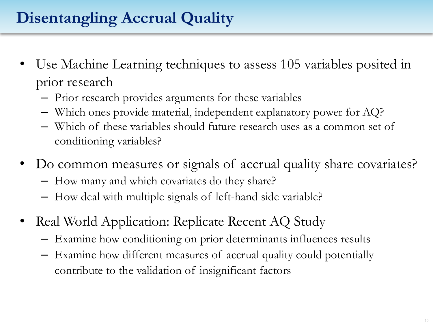#### **Disentangling Accrual Quality**

- Use Machine Learning techniques to assess 105 variables posited in prior research
	- Prior research provides arguments for these variables
	- Which ones provide material, independent explanatory power for AQ?
	- Which of these variables should future research uses as a common set of conditioning variables?
- Do common measures or signals of accrual quality share covariates?
	- How many and which covariates do they share?
	- How deal with multiple signals of left-hand side variable?
- Real World Application: Replicate Recent AQ Study
	- Examine how conditioning on prior determinants influences results
	- Examine how different measures of accrual quality could potentially contribute to the validation of insignificant factors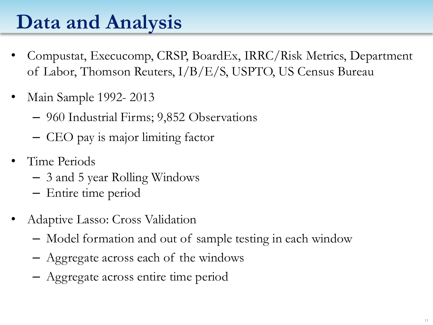## **Data and Analysis**

- Compustat, Execucomp, CRSP, BoardEx, IRRC/Risk Metrics, Department of Labor, Thomson Reuters, I/B/E/S, USPTO, US Census Bureau
- Main Sample 1992- 2013
	- 960 Industrial Firms; 9,852 Observations
	- CEO pay is major limiting factor
- Time Periods
	- 3 and 5 year Rolling Windows
	- Entire time period
- Adaptive Lasso: Cross Validation
	- Model formation and out of sample testing in each window
	- Aggregate across each of the windows
	- Aggregate across entire time period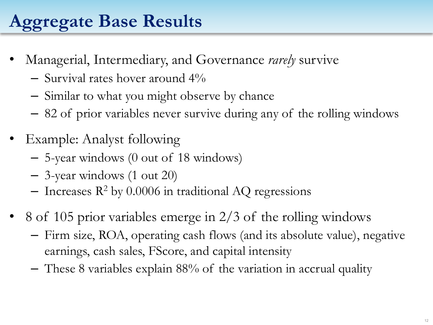## **Aggregate Base Results**

- Managerial, Intermediary, and Governance *rarely* survive
	- $-$  Survival rates hover around  $4\%$
	- Similar to what you might observe by chance
	- 82 of prior variables never survive during any of the rolling windows
- Example: Analyst following
	- 5-year windows (0 out of 18 windows)
	- 3-year windows (1 out 20)
	- Increases  $R^2$  by 0.0006 in traditional AQ regressions
- 8 of 105 prior variables emerge in 2/3 of the rolling windows
	- Firm size, ROA, operating cash flows (and its absolute value), negative earnings, cash sales, FScore, and capital intensity
	- These 8 variables explain 88% of the variation in accrual quality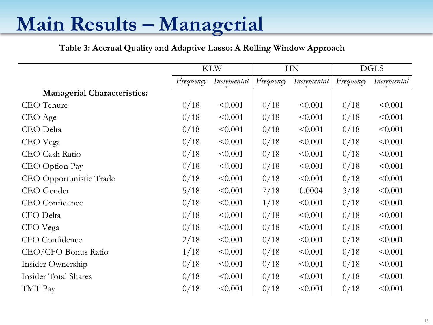## **Main Results – Managerial**

#### **Table 3: Accrual Quality and Adaptive Lasso: A Rolling Window Approach**

|                                    | <b>KLW</b> |             | HN        |             | <b>DGLS</b> |             |
|------------------------------------|------------|-------------|-----------|-------------|-------------|-------------|
|                                    | Frequency  | Incremental | Frequency | Incremental | Frequency   | Incremental |
| <b>Managerial Characteristics:</b> |            |             |           |             |             |             |
| <b>CEO</b> Tenure                  | 0/18       | < 0.001     | 0/18      | < 0.001     | 0/18        | < 0.001     |
| CEO Age                            | 0/18       | < 0.001     | 0/18      | < 0.001     | 0/18        | < 0.001     |
| <b>CEO</b> Delta                   | 0/18       | < 0.001     | 0/18      | < 0.001     | 0/18        | < 0.001     |
| CEO Vega                           | 0/18       | < 0.001     | 0/18      | < 0.001     | 0/18        | < 0.001     |
| CEO Cash Ratio                     | 0/18       | < 0.001     | 0/18      | < 0.001     | 0/18        | < 0.001     |
| CEO Option Pay                     | 0/18       | < 0.001     | 0/18      | < 0.001     | 0/18        | < 0.001     |
| <b>CEO</b> Opportunistic Trade     | 0/18       | < 0.001     | 0/18      | < 0.001     | 0/18        | < 0.001     |
| <b>CEO</b> Gender                  | 5/18       | < 0.001     | 7/18      | 0.0004      | 3/18        | < 0.001     |
| <b>CEO</b> Confidence              | 0/18       | < 0.001     | 1/18      | < 0.001     | 0/18        | < 0.001     |
| CFO Delta                          | 0/18       | < 0.001     | 0/18      | < 0.001     | 0/18        | < 0.001     |
| CFO Vega                           | 0/18       | < 0.001     | 0/18      | < 0.001     | 0/18        | < 0.001     |
| CFO Confidence                     | 2/18       | < 0.001     | 0/18      | < 0.001     | 0/18        | < 0.001     |
| CEO/CFO Bonus Ratio                | 1/18       | < 0.001     | 0/18      | < 0.001     | 0/18        | < 0.001     |
| Insider Ownership                  | 0/18       | < 0.001     | 0/18      | < 0.001     | 0/18        | < 0.001     |
| <b>Insider Total Shares</b>        | 0/18       | < 0.001     | 0/18      | < 0.001     | 0/18        | < 0.001     |
| TMT Pay                            | 0/18       | < 0.001     | 0/18      | < 0.001     | 0/18        | < 0.001     |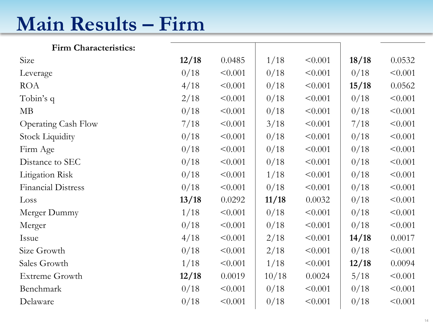## **Main Results – Firm**

| <b>Firm Characteristics:</b> |       |         |       |         |       |         |
|------------------------------|-------|---------|-------|---------|-------|---------|
| Size                         | 12/18 | 0.0485  | 1/18  | < 0.001 | 18/18 | 0.0532  |
| Leverage                     | 0/18  | < 0.001 | 0/18  | < 0.001 | 0/18  | < 0.001 |
| <b>ROA</b>                   | 4/18  | < 0.001 | 0/18  | < 0.001 | 15/18 | 0.0562  |
| Tobin's q                    | 2/18  | < 0.001 | 0/18  | < 0.001 | 0/18  | < 0.001 |
| MB                           | 0/18  | < 0.001 | 0/18  | < 0.001 | 0/18  | < 0.001 |
| <b>Operating Cash Flow</b>   | 7/18  | < 0.001 | 3/18  | < 0.001 | 7/18  | < 0.001 |
| <b>Stock Liquidity</b>       | 0/18  | < 0.001 | 0/18  | < 0.001 | 0/18  | < 0.001 |
| Firm Age                     | 0/18  | < 0.001 | 0/18  | < 0.001 | 0/18  | < 0.001 |
| Distance to SEC              | 0/18  | < 0.001 | 0/18  | < 0.001 | 0/18  | < 0.001 |
| Litigation Risk              | 0/18  | < 0.001 | 1/18  | < 0.001 | 0/18  | < 0.001 |
| <b>Financial Distress</b>    | 0/18  | < 0.001 | 0/18  | < 0.001 | 0/18  | < 0.001 |
| Loss                         | 13/18 | 0.0292  | 11/18 | 0.0032  | 0/18  | < 0.001 |
| Merger Dummy                 | 1/18  | < 0.001 | 0/18  | < 0.001 | 0/18  | < 0.001 |
| Merger                       | 0/18  | < 0.001 | 0/18  | < 0.001 | 0/18  | < 0.001 |
| Issue                        | 4/18  | < 0.001 | 2/18  | < 0.001 | 14/18 | 0.0017  |
| Size Growth                  | 0/18  | < 0.001 | 2/18  | < 0.001 | 0/18  | < 0.001 |
| Sales Growth                 | 1/18  | < 0.001 | 1/18  | < 0.001 | 12/18 | 0.0094  |
| Extreme Growth               | 12/18 | 0.0019  | 10/18 | 0.0024  | 5/18  | < 0.001 |
| Benchmark                    | 0/18  | < 0.001 | 0/18  | < 0.001 | 0/18  | < 0.001 |
| Delaware                     | 0/18  | < 0.001 | 0/18  | < 0.001 | 0/18  | < 0.001 |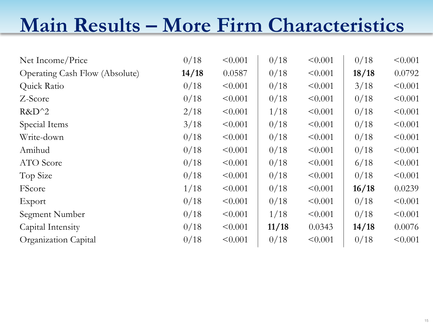## **Main Results – More Firm Characteristics**

| Net Income/Price                      | 0/18  | < 0.001 | 0/18  | < 0.001 | 0/18  | < 0.001 |
|---------------------------------------|-------|---------|-------|---------|-------|---------|
| <b>Operating Cash Flow (Absolute)</b> | 14/18 | 0.0587  | 0/18  | < 0.001 | 18/18 | 0.0792  |
| Quick Ratio                           | 0/18  | < 0.001 | 0/18  | < 0.001 | 3/18  | < 0.001 |
| Z-Score                               | 0/18  | < 0.001 | 0/18  | < 0.001 | 0/18  | < 0.001 |
| $R&D^2$                               | 2/18  | < 0.001 | 1/18  | < 0.001 | 0/18  | < 0.001 |
| Special Items                         | 3/18  | < 0.001 | 0/18  | < 0.001 | 0/18  | < 0.001 |
| Write-down                            | 0/18  | < 0.001 | 0/18  | < 0.001 | 0/18  | < 0.001 |
| Amihud                                | 0/18  | < 0.001 | 0/18  | < 0.001 | 0/18  | < 0.001 |
| ATO Score                             | 0/18  | < 0.001 | 0/18  | < 0.001 | 6/18  | < 0.001 |
| Top Size                              | 0/18  | < 0.001 | 0/18  | < 0.001 | 0/18  | < 0.001 |
| FScore                                | 1/18  | < 0.001 | 0/18  | < 0.001 | 16/18 | 0.0239  |
| Export                                | 0/18  | < 0.001 | 0/18  | < 0.001 | 0/18  | < 0.001 |
| Segment Number                        | 0/18  | < 0.001 | 1/18  | < 0.001 | 0/18  | < 0.001 |
| Capital Intensity                     | 0/18  | < 0.001 | 11/18 | 0.0343  | 14/18 | 0.0076  |
| Organization Capital                  | 0/18  | < 0.001 | 0/18  | < 0.001 | 0/18  | < 0.001 |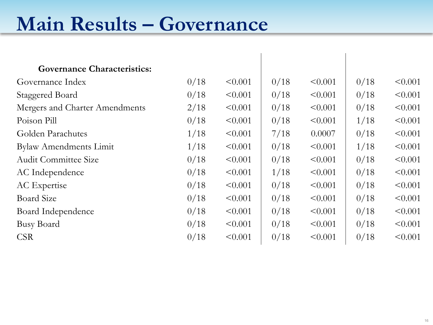## **Main Results – Governance**

| <b>Governance Characteristics:</b> |      |         |      |         |      |         |
|------------------------------------|------|---------|------|---------|------|---------|
| Governance Index                   | 0/18 | < 0.001 | 0/18 | < 0.001 | 0/18 | < 0.001 |
| <b>Staggered Board</b>             | 0/18 | < 0.001 | 0/18 | < 0.001 | 0/18 | < 0.001 |
| Mergers and Charter Amendments     | 2/18 | < 0.001 | 0/18 | < 0.001 | 0/18 | < 0.001 |
| Poison Pill                        | 0/18 | < 0.001 | 0/18 | < 0.001 | 1/18 | < 0.001 |
| Golden Parachutes                  | 1/18 | < 0.001 | 7/18 | 0.0007  | 0/18 | < 0.001 |
| <b>Bylaw Amendments Limit</b>      | 1/18 | < 0.001 | 0/18 | < 0.001 | 1/18 | < 0.001 |
| <b>Audit Committee Size</b>        | 0/18 | < 0.001 | 0/18 | < 0.001 | 0/18 | < 0.001 |
| AC Independence                    | 0/18 | < 0.001 | 1/18 | < 0.001 | 0/18 | < 0.001 |
| AC Expertise                       | 0/18 | < 0.001 | 0/18 | < 0.001 | 0/18 | < 0.001 |
| <b>Board Size</b>                  | 0/18 | < 0.001 | 0/18 | < 0.001 | 0/18 | < 0.001 |
| Board Independence                 | 0/18 | < 0.001 | 0/18 | < 0.001 | 0/18 | < 0.001 |
| <b>Busy Board</b>                  | 0/18 | < 0.001 | 0/18 | < 0.001 | 0/18 | < 0.001 |
| <b>CSR</b>                         | 0/18 | < 0.001 | 0/18 | < 0.001 | 0/18 | < 0.001 |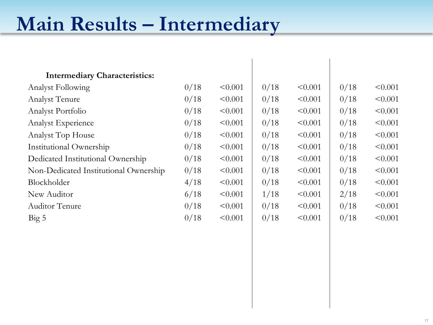## **Main Results – Intermediary**

| <b>Intermediary Characteristics:</b>  |      |         |      |         |      |         |
|---------------------------------------|------|---------|------|---------|------|---------|
| Analyst Following                     | 0/18 | < 0.001 | 0/18 | < 0.001 | 0/18 | < 0.001 |
| <b>Analyst Tenure</b>                 | 0/18 | < 0.001 | 0/18 | < 0.001 | 0/18 | < 0.001 |
| Analyst Portfolio                     | 0/18 | < 0.001 | 0/18 | < 0.001 | 0/18 | < 0.001 |
| Analyst Experience                    | 0/18 | < 0.001 | 0/18 | < 0.001 | 0/18 | < 0.001 |
| <b>Analyst Top House</b>              | 0/18 | < 0.001 | 0/18 | < 0.001 | 0/18 | < 0.001 |
| Institutional Ownership               | 0/18 | < 0.001 | 0/18 | < 0.001 | 0/18 | < 0.001 |
| Dedicated Institutional Ownership     | 0/18 | < 0.001 | 0/18 | < 0.001 | 0/18 | < 0.001 |
| Non-Dedicated Institutional Ownership | 0/18 | < 0.001 | 0/18 | < 0.001 | 0/18 | < 0.001 |
| Blockholder                           | 4/18 | < 0.001 | 0/18 | < 0.001 | 0/18 | < 0.001 |
| New Auditor                           | 6/18 | < 0.001 | 1/18 | < 0.001 | 2/18 | < 0.001 |
| <b>Auditor Tenure</b>                 | 0/18 | < 0.001 | 0/18 | < 0.001 | 0/18 | < 0.001 |
| $Big\5$                               | 0/18 | < 0.001 | 0/18 | < 0.001 | 0/18 | < 0.001 |

 $\overline{1}$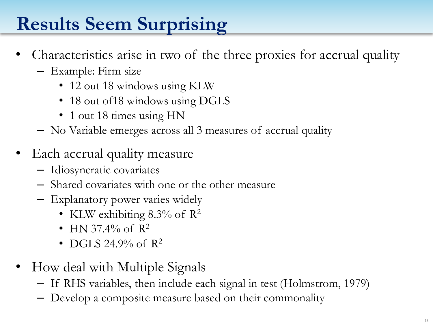## **Results Seem Surprising**

- Characteristics arise in two of the three proxies for accrual quality
	- Example: Firm size
		- 12 out 18 windows using KLW
		- 18 out of 18 windows using DGLS
		- 1 out 18 times using HN
	- No Variable emerges across all 3 measures of accrual quality
- Each accrual quality measure
	- Idiosyncratic covariates
	- Shared covariates with one or the other measure
	- Explanatory power varies widely
		- KLW exhibiting 8.3% of  $\mathbb{R}^2$
		- HN 37.4% of  $R^2$
		- DGLS 24.9% of  $R^2$
- How deal with Multiple Signals
	- If RHS variables, then include each signal in test (Holmstrom, 1979)
	- Develop a composite measure based on their commonality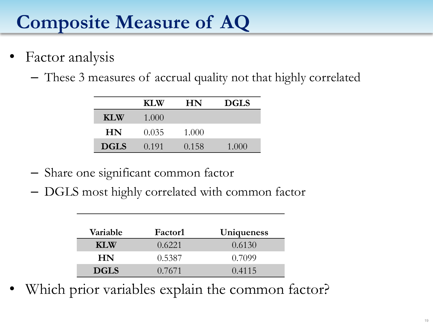### **Composite Measure of AQ**

- Factor analysis
	- These 3 measures of accrual quality not that highly correlated

|             | <b>KLW</b> | HN    | <b>DGLS</b> |
|-------------|------------|-------|-------------|
| <b>KLW</b>  | 1.000      |       |             |
| <b>HN</b>   | 0.035      | 1.000 |             |
| <b>DGLS</b> | 0.191      | 0.158 | 1.000       |

- Share one significant common factor
- DGLS most highly correlated with common factor

| Variable    | Factor1 | <b>Uniqueness</b> |
|-------------|---------|-------------------|
| <b>KLW</b>  | 0.6221  | 0.6130            |
| <b>HN</b>   | 0.5387  | 0.7099            |
| <b>DGLS</b> | 0.7671  | 0.4115            |

Which prior variables explain the common factor?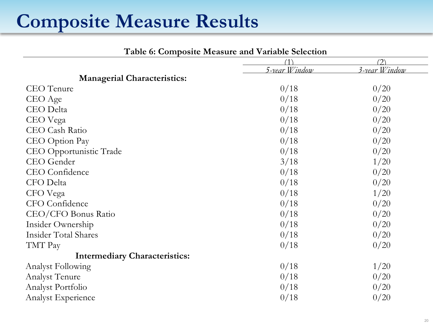|                                      | (1)           | (2)           |
|--------------------------------------|---------------|---------------|
|                                      | 5-year Window | 3-year Window |
| <b>Managerial Characteristics:</b>   |               |               |
| <b>CEO</b> Tenure                    | 0/18          | 0/20          |
| CEO Age                              | 0/18          | 0/20          |
| CEO Delta                            | 0/18          | 0/20          |
| CEO Vega                             | 0/18          | 0/20          |
| CEO Cash Ratio                       | 0/18          | 0/20          |
| CEO Option Pay                       | 0/18          | 0/20          |
| <b>CEO</b> Opportunistic Trade       | 0/18          | 0/20          |
| <b>CEO</b> Gender                    | 3/18          | 1/20          |
| <b>CEO</b> Confidence                | 0/18          | 0/20          |
| CFO Delta                            | 0/18          | 0/20          |
| CFO Vega                             | 0/18          | 1/20          |
| CFO Confidence                       | 0/18          | 0/20          |
| CEO/CFO Bonus Ratio                  | 0/18          | 0/20          |
| Insider Ownership                    | 0/18          | 0/20          |
| <b>Insider Total Shares</b>          | 0/18          | 0/20          |
| TMT Pay                              | 0/18          | 0/20          |
| <b>Intermediary Characteristics:</b> |               |               |
| Analyst Following                    | 0/18          | 1/20          |
| <b>Analyst Tenure</b>                | 0/18          | 0/20          |
| Analyst Portfolio                    | 0/18          | 0/20          |
| Analyst Experience                   | 0/18          | 0/20          |

#### **Table 6: Composite Measure and Variable Selection**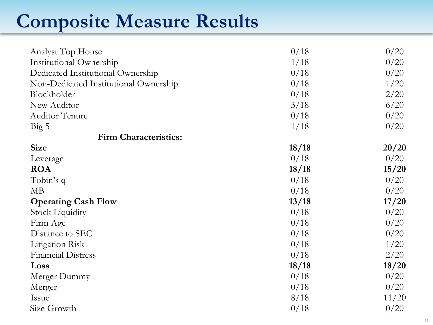| Analyst Top House                     | 0/18  | 0/20  |
|---------------------------------------|-------|-------|
| Institutional Ownership               | 1/18  | 0/20  |
| Dedicated Institutional Ownership     | 0/18  | 0/20  |
| Non-Dedicated Institutional Ownership | 0/18  | 1/20  |
| Blockholder                           | 0/18  | 2/20  |
| New Auditor                           | 3/18  | 6/20  |
| <b>Auditor Tenure</b>                 | 0/18  | 0/20  |
| $Big\}$ 5                             | 1/18  | 0/20  |
| <b>Firm Characteristics:</b>          |       |       |
| <b>Size</b>                           | 18/18 | 20/20 |
| Leverage                              | 0/18  | 0/20  |
| <b>ROA</b>                            | 18/18 | 15/20 |
| Tobin's q                             | 0/18  | 0/20  |
| MB                                    | 0/18  | 0/20  |
| <b>Operating Cash Flow</b>            | 13/18 | 17/20 |
| <b>Stock Liquidity</b>                | 0/18  | 0/20  |
| Firm Age                              | 0/18  | 0/20  |
| Distance to SEC                       | 0/18  | 0/20  |
| Litigation Risk                       | 0/18  | 1/20  |
| <b>Financial Distress</b>             | 0/18  | 2/20  |
| Loss                                  | 18/18 | 18/20 |
| Merger Dummy                          | 0/18  | 0/20  |
| Merger                                | 0/18  | 0/20  |
| Issue                                 | 8/18  | 11/20 |
| Size Growth                           | 0/18  | 0/20  |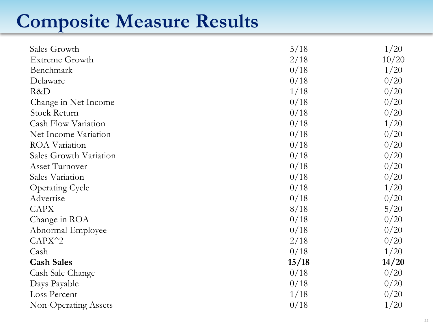| Sales Growth           | 5/18  | 1/20  |
|------------------------|-------|-------|
| <b>Extreme Growth</b>  | 2/18  | 10/20 |
| Benchmark              | 0/18  | 1/20  |
| Delaware               | 0/18  | 0/20  |
| R&D                    | 1/18  | 0/20  |
| Change in Net Income   | 0/18  | 0/20  |
| <b>Stock Return</b>    | 0/18  | 0/20  |
| Cash Flow Variation    | 0/18  | 1/20  |
| Net Income Variation   | 0/18  | 0/20  |
| ROA Variation          | 0/18  | 0/20  |
| Sales Growth Variation | 0/18  | 0/20  |
| Asset Turnover         | 0/18  | 0/20  |
| Sales Variation        | 0/18  | 0/20  |
| <b>Operating Cycle</b> | 0/18  | 1/20  |
| Advertise              | 0/18  | 0/20  |
| <b>CAPX</b>            | 8/18  | 5/20  |
| Change in ROA          | 0/18  | 0/20  |
| Abnormal Employee      | 0/18  | 0/20  |
| $CAPX^2$               | 2/18  | 0/20  |
| Cash                   | 0/18  | 1/20  |
| <b>Cash Sales</b>      | 15/18 | 14/20 |
| Cash Sale Change       | 0/18  | 0/20  |
| Days Payable           | 0/18  | 0/20  |
| Loss Percent           | 1/18  | 0/20  |
| Non-Operating Assets   | 0/18  | 1/20  |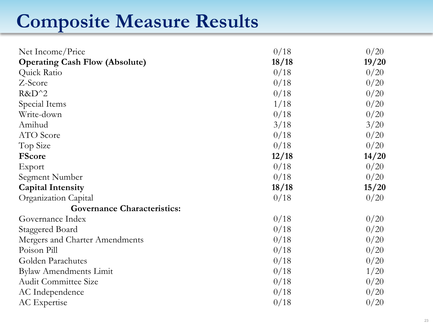| Net Income/Price                      | 0/18  | 0/20  |  |
|---------------------------------------|-------|-------|--|
| <b>Operating Cash Flow (Absolute)</b> | 18/18 | 19/20 |  |
| Quick Ratio                           | 0/18  | 0/20  |  |
| Z-Score                               | 0/18  | 0/20  |  |
| $R&D^2$                               | 0/18  | 0/20  |  |
| Special Items                         | 1/18  | 0/20  |  |
| Write-down                            | 0/18  | 0/20  |  |
| Amihud                                | 3/18  | 3/20  |  |
| ATO Score                             | 0/18  | 0/20  |  |
| Top Size                              | 0/18  | 0/20  |  |
| <b>FScore</b>                         | 12/18 | 14/20 |  |
| Export                                | 0/18  | 0/20  |  |
| Segment Number                        | 0/18  | 0/20  |  |
| <b>Capital Intensity</b>              | 18/18 | 15/20 |  |
| Organization Capital                  | 0/18  | 0/20  |  |
| <b>Governance Characteristics:</b>    |       |       |  |
| Governance Index                      | 0/18  | 0/20  |  |
| Staggered Board                       | 0/18  | 0/20  |  |
| Mergers and Charter Amendments        | 0/18  | 0/20  |  |
| Poison Pill                           | 0/18  | 0/20  |  |
| Golden Parachutes                     | 0/18  | 0/20  |  |
| <b>Bylaw Amendments Limit</b>         | 0/18  | 1/20  |  |
| <b>Audit Committee Size</b>           | 0/18  | 0/20  |  |
| AC Independence                       | 0/18  | 0/20  |  |
| AC Expertise                          | 0/18  | 0/20  |  |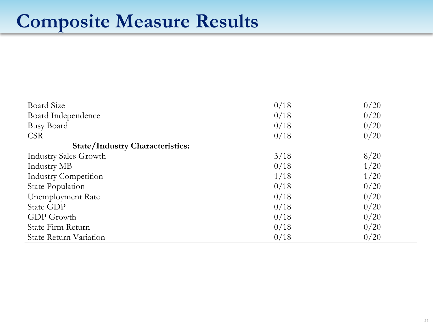| <b>Board Size</b>                      | 0/18 | 0/20 |
|----------------------------------------|------|------|
| Board Independence                     | 0/18 | 0/20 |
| Busy Board                             | 0/18 | 0/20 |
| <b>CSR</b>                             | 0/18 | 0/20 |
| <b>State/Industry Characteristics:</b> |      |      |
| <b>Industry Sales Growth</b>           | 3/18 | 8/20 |
| Industry MB                            | 0/18 | 1/20 |
| <b>Industry Competition</b>            | 1/18 | 1/20 |
| State Population                       | 0/18 | 0/20 |
| <b>Unemployment Rate</b>               | 0/18 | 0/20 |
| State GDP                              | 0/18 | 0/20 |
| GDP Growth                             | 0/18 | 0/20 |
| State Firm Return                      | 0/18 | 0/20 |
| <b>State Return Variation</b>          | 0/18 | 0/20 |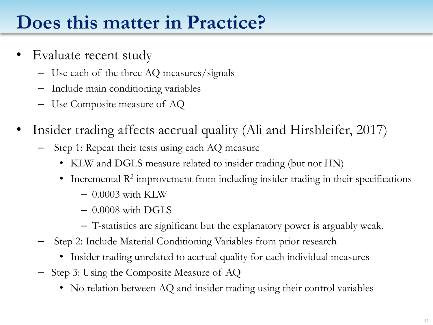### **Does this matter in Practice?**

- Evaluate recent study
	- Use each of the three AQ measures/signals
	- Include main conditioning variables
	- Use Composite measure of AQ
- Insider trading affects accrual quality (Ali and Hirshleifer, 2017)
	- Step 1: Repeat their tests using each AQ measure
		- KLW and DGLS measure related to insider trading (but not HN)
		- Incremental  $\mathbb{R}^2$  improvement from including insider trading in their specifications
			- $-0.0003$  with KLW
			- 0.0008 with DGLS
			- T-statistics are significant but the explanatory power is arguably weak.
	- Step 2: Include Material Conditioning Variables from prior research
		- Insider trading unrelated to accrual quality for each individual measures
	- Step 3: Using the Composite Measure of AQ
		- No relation between AQ and insider trading using their control variables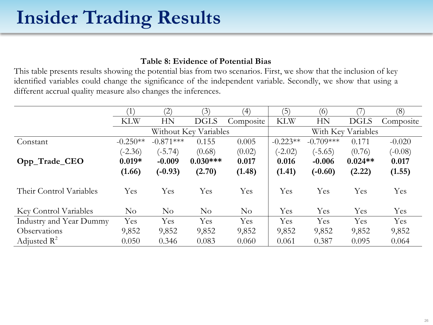## **Insider Trading Results**

#### **Table 8: Evidence of Potential Bias**

This table presents results showing the potential bias from two scenarios. First, we show that the inclusion of key identified variables could change the significance of the independent variable. Secondly, we show that using a different accrual quality measure also changes the inferences.

|                              |            | 2)                    | 3)          | (4)       | (5)                | (6)         |             | (8)       |
|------------------------------|------------|-----------------------|-------------|-----------|--------------------|-------------|-------------|-----------|
|                              | <b>KLW</b> | HN                    | <b>DGLS</b> | Composite | <b>KLW</b>         | HN          | <b>DGLS</b> | Composite |
|                              |            | Without Key Variables |             |           | With Key Variables |             |             |           |
| Constant                     | $-0.250**$ | $-0.871***$           | 0.155       | 0.005     | $-0.223**$         | $-0.709***$ | 0.171       | $-0.020$  |
|                              | $(-2.36)$  | $(-5.74)$             | (0.68)      | (0.02)    | $(-2.02)$          | $(-5.65)$   | (0.76)      | $(-0.08)$ |
| Opp_Trade_CEO                | $0.019*$   | $-0.009$              | $0.030***$  | 0.017     | 0.016              | $-0.006$    | $0.024**$   | 0.017     |
|                              | (1.66)     | $(-0.93)$             | (2.70)      | (1.48)    | (1.41)             | $(-0.60)$   | (2.22)      | (1.55)    |
| Their Control Variables      | Yes        | Yes                   | Yes         | Yes       | Yes                | Yes         | Yes         | Yes       |
| <b>Key Control Variables</b> | $\rm No$   | $\rm No$              | $\rm No$    | $\rm No$  | Yes                | Yes         | Yes         | Yes       |
| Industry and Year Dummy      | Yes        | Yes                   | Yes         | Yes       | Yes                | Yes         | Yes         | Yes       |
| Observations                 | 9,852      | 9,852                 | 9,852       | 9,852     | 9,852              | 9,852       | 9,852       | 9,852     |
| Adjusted $\mathbb{R}^2$      | 0.050      | 0.346                 | 0.083       | 0.060     | 0.061              | 0.387       | 0.095       | 0.064     |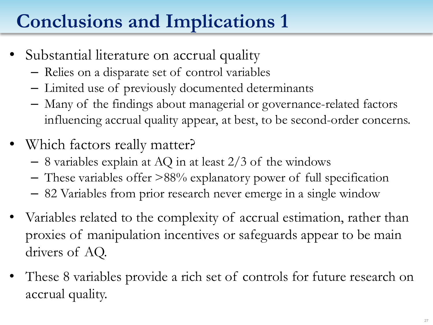## **Conclusions and Implications 1**

- Substantial literature on accrual quality
	- Relies on a disparate set of control variables
	- Limited use of previously documented determinants
	- Many of the findings about managerial or governance-related factors influencing accrual quality appear, at best, to be second-order concerns.
- Which factors really matter?
	- 8 variables explain at AQ in at least 2/3 of the windows
	- These variables offer >88% explanatory power of full specification
	- 82 Variables from prior research never emerge in a single window
- Variables related to the complexity of accrual estimation, rather than proxies of manipulation incentives or safeguards appear to be main drivers of AQ.
- These 8 variables provide a rich set of controls for future research on accrual quality.